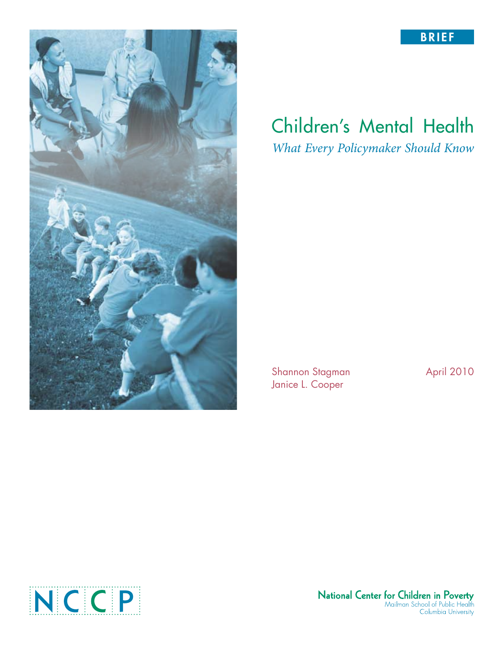



# Children's Mental Health *What Every Policymaker Should Know*

Shannon Stagman April 2010 Janice L. Cooper



National Center for Children in Poverty<br>Mailman School of Public Health<br>Columbia University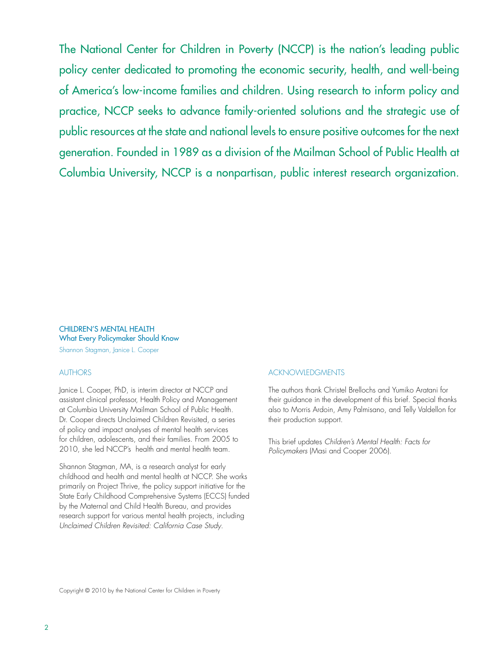The National Center for Children in Poverty (NCCP) is the nation's leading public policy center dedicated to promoting the economic security, health, and well-being of America's low-income families and children. Using research to inform policy and practice, NCCP seeks to advance family-oriented solutions and the strategic use of public resources at the state and national levels to ensure positive outcomes for the next generation. Founded in 1989 as a division of the Mailman School of Public Health at Columbia University, NCCP is a nonpartisan, public interest research organization.

## Children's Mental Health What Every Policymaker Should Know

Shannon Stagman, Janice L. Cooper

### **AUTHORS**

Janice L. Cooper, PhD, is interim director at NCCP and assistant clinical professor, Health Policy and Management at Columbia University Mailman School of Public Health. Dr. Cooper directs Unclaimed Children Revisited, a series of policy and impact analyses of mental health services for children, adolescents, and their families. From 2005 to 2010, she led NCCP's health and mental health team.

Shannon Stagman, MA, is a research analyst for early childhood and health and mental health at NCCP. She works primarily on Project Thrive, the policy support initiative for the State Early Childhood Comprehensive Systems (ECCS) funded by the Maternal and Child Health Bureau, and provides research support for various mental health projects, including *Unclaimed Children Revisited: California Case Study*.

#### Acknowledgments

The authors thank Christel Brellochs and Yumiko Aratani for their guidance in the development of this brief. Special thanks also to Morris Ardoin, Amy Palmisano, and Telly Valdellon for their production support.

This brief updates *Children's Mental Health: Facts for Policymakers* (Masi and Cooper 2006).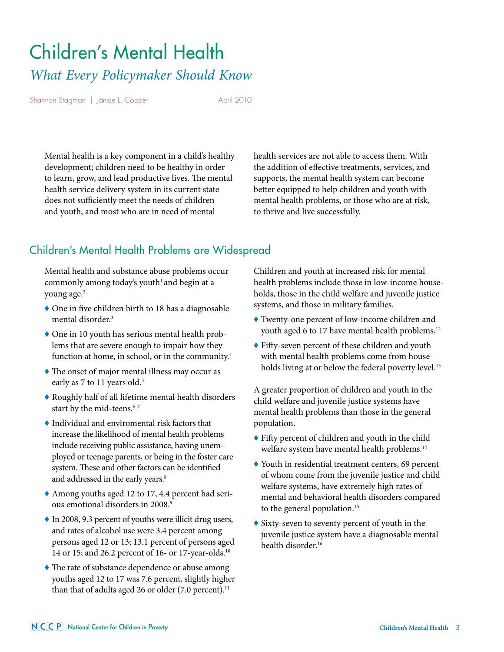# Children's Mental Health *What Every Policymaker Should Know*

Shannon Stagman | Janice L. Cooper April 2010

Mental health is a key component in a child's healthy development; children need to be healthy in order to learn, grow, and lead productive lives. The mental health service delivery system in its current state does not sufficiently meet the needs of children and youth, and most who are in need of mental

health services are not able to access them. With the addition of effective treatments, services, and supports, the mental health system can become better equipped to help children and youth with mental health problems, or those who are at risk, to thrive and live successfully.

# Children's Mental Health Problems are Widespread

Mental health and substance abuse problems occur commonly among today's youth<sup>1</sup> and begin at a young age.2

- ♦ One in five children birth to 18 has a diagnosable mental disorder.3
- ♦ One in 10 youth has serious mental health problems that are severe enough to impair how they function at home, in school, or in the community.<sup>4</sup>
- ♦ The onset of major mental illness may occur as early as 7 to 11 years old.<sup>5</sup>
- ♦ Roughly half of all lifetime mental health disorders start by the mid-teens.<sup>67</sup>
- ♦ Individual and enviromental risk factors that increase the likelihood of mental health problems include receiving public assistance, having unemployed or teenage parents, or being in the foster care system. These and other factors can be identified and addressed in the early years.<sup>8</sup>
- ♦ Among youths aged 12 to 17, 4.4 percent had serious emotional disorders in 2008.9
- ♦ In 2008, 9.3 percent of youths were illicit drug users, and rates of alcohol use were 3.4 percent among persons aged 12 or 13; 13.1 percent of persons aged 14 or 15; and 26.2 percent of 16- or 17-year-olds.10
- ♦ The rate of substance dependence or abuse among youths aged 12 to 17 was 7.6 percent, slightly higher than that of adults aged 26 or older  $(7.0 \text{ percent.})^{11}$

Children and youth at increased risk for mental health problems include those in low-income households, those in the child welfare and juvenile justice systems, and those in military families.

- ♦ Twenty-one percent of low-income children and youth aged 6 to 17 have mental health problems.<sup>12</sup>
- ♦ Fifty-seven percent of these children and youth with mental health problems come from households living at or below the federal poverty level.<sup>13</sup>

A greater proportion of children and youth in the child welfare and juvenile justice systems have mental health problems than those in the general population.

- ♦ Fifty percent of children and youth in the child welfare system have mental health problems.14
- ♦ Youth in residential treatment centers, 69 percent of whom come from the juvenile justice and child welfare systems, have extremely high rates of mental and behavioral health disorders compared to the general population.<sup>15</sup>
- ♦ Sixty-seven to seventy percent of youth in the juvenile justice system have a diagnosable mental health disorder.16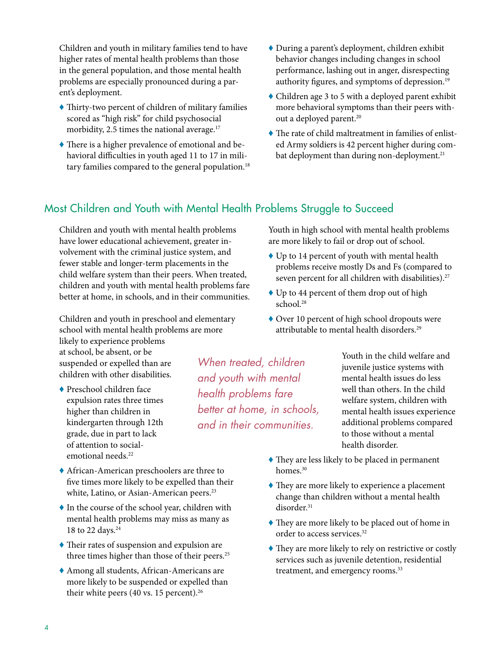Children and youth in military families tend to have higher rates of mental health problems than those in the general population, and those mental health problems are especially pronounced during a parent's deployment.

- ♦ Thirty-two percent of children of military families scored as "high risk" for child psychosocial morbidity, 2.5 times the national average.<sup>17</sup>
- ♦ There is a higher prevalence of emotional and behavioral difficulties in youth aged 11 to 17 in military families compared to the general population.<sup>18</sup>
- ♦ During a parent's deployment, children exhibit behavior changes including changes in school performance, lashing out in anger, disrespecting authority figures, and symptoms of depression.<sup>19</sup>
- ♦ Children age 3 to 5 with a deployed parent exhibit more behavioral symptoms than their peers without a deployed parent.<sup>20</sup>
- ♦ The rate of child maltreatment in families of enlisted Army soldiers is 42 percent higher during combat deployment than during non-deployment.<sup>21</sup>

# Most Children and Youth with Mental Health Problems Struggle to Succeed

Children and youth with mental health problems have lower educational achievement, greater involvement with the criminal justice system, and fewer stable and longer-term placements in the child welfare system than their peers. When treated, children and youth with mental health problems fare better at home, in schools, and in their communities.

Children and youth in preschool and elementary school with mental health problems are more likely to experience problems at school, be absent, or be suspended or expelled than are children with other disabilities.

♦ Preschool children face expulsion rates three times higher than children in kindergarten through 12th grade, due in part to lack of attention to socialemotional needs.<sup>22</sup>

*When treated, children and youth with mental health problems fare better at home, in schools, and in their communities.*

Youth in high school with mental health problems are more likely to fail or drop out of school.

- ♦ Up to 14 percent of youth with mental health problems receive mostly Ds and Fs (compared to seven percent for all children with disabilities).<sup>27</sup>
- ♦ Up to 44 percent of them drop out of high school.<sup>28</sup>
- ♦ Over 10 percent of high school dropouts were attributable to mental health disorders.29

Youth in the child welfare and juvenile justice systems with mental health issues do less well than others. In the child welfare system, children with mental health issues experience additional problems compared to those without a mental health disorder.

- ♦ They are less likely to be placed in permanent homes.<sup>30</sup>
- ♦ They are more likely to experience a placement change than children without a mental health disorder.<sup>31</sup>
- ♦ They are more likely to be placed out of home in order to access services.<sup>32</sup>
- ♦ They are more likely to rely on restrictive or costly services such as juvenile detention, residential treatment, and emergency rooms.<sup>33</sup>
- ♦ African-American preschoolers are three to five times more likely to be expelled than their white, Latino, or Asian-American peers.<sup>23</sup>
- ♦ In the course of the school year, children with mental health problems may miss as many as 18 to 22 days.<sup>24</sup>
- ♦ Their rates of suspension and expulsion are three times higher than those of their peers.<sup>25</sup>
- ♦ Among all students, African-Americans are more likely to be suspended or expelled than their white peers (40 vs. 15 percent).<sup>26</sup>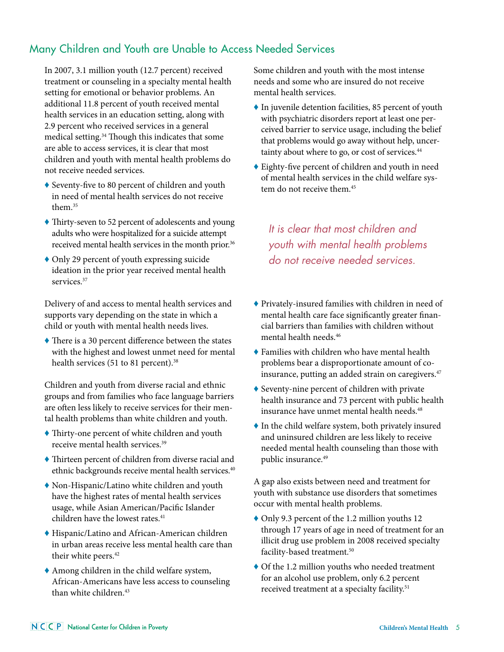# Many Children and Youth are Unable to Access Needed Services

In 2007, 3.1 million youth (12.7 percent) received treatment or counseling in a specialty mental health setting for emotional or behavior problems. An additional 11.8 percent of youth received mental health services in an education setting, along with 2.9 percent who received services in a general medical setting.34 Though this indicates that some are able to access services, it is clear that most children and youth with mental health problems do not receive needed services.

- ♦ Seventy-five to 80 percent of children and youth in need of mental health services do not receive them<sup>35</sup>
- ♦ Thirty-seven to 52 percent of adolescents and young adults who were hospitalized for a suicide attempt received mental health services in the month prior.<sup>36</sup>
- ♦ Only 29 percent of youth expressing suicide ideation in the prior year received mental health services.<sup>37</sup>

Delivery of and access to mental health services and supports vary depending on the state in which a child or youth with mental health needs lives.

♦ There is a 30 percent difference between the states with the highest and lowest unmet need for mental health services (51 to 81 percent).<sup>38</sup>

Children and youth from diverse racial and ethnic groups and from families who face language barriers are often less likely to receive services for their mental health problems than white children and youth.

- ♦ Thirty-one percent of white children and youth receive mental health services.39
- ♦ Thirteen percent of children from diverse racial and ethnic backgrounds receive mental health services.<sup>40</sup>
- ♦ Non-Hispanic/Latino white children and youth have the highest rates of mental health services usage, while Asian American/Pacific Islander children have the lowest rates.<sup>41</sup>
- ♦ Hispanic/Latino and African-American children in urban areas receive less mental health care than their white peers.<sup>42</sup>
- ♦ Among children in the child welfare system, African-Americans have less access to counseling than white children.<sup>43</sup>

Some children and youth with the most intense needs and some who are insured do not receive mental health services.

- ♦ In juvenile detention facilities, 85 percent of youth with psychiatric disorders report at least one perceived barrier to service usage, including the belief that problems would go away without help, uncertainty about where to go, or cost of services.<sup>44</sup>
- ♦ Eighty-five percent of children and youth in need of mental health services in the child welfare system do not receive them.<sup>45</sup>

*It is clear that most children and youth with mental health problems do not receive needed services.*

- ♦ Privately-insured families with children in need of mental health care face significantly greater financial barriers than families with children without mental health needs.46
- ♦ Families with children who have mental health problems bear a disproportionate amount of coinsurance, putting an added strain on caregivers.<sup>47</sup>
- ♦ Seventy-nine percent of children with private health insurance and 73 percent with public health insurance have unmet mental health needs.<sup>48</sup>
- ♦ In the child welfare system, both privately insured and uninsured children are less likely to receive needed mental health counseling than those with public insurance.49

A gap also exists between need and treatment for youth with substance use disorders that sometimes occur with mental health problems.

- ♦ Only 9.3 percent of the 1.2 million youths 12 through 17 years of age in need of treatment for an illicit drug use problem in 2008 received specialty facility-based treatment.<sup>50</sup>
- ♦ Of the 1.2 million youths who needed treatment for an alcohol use problem, only 6.2 percent received treatment at a specialty facility.<sup>51</sup>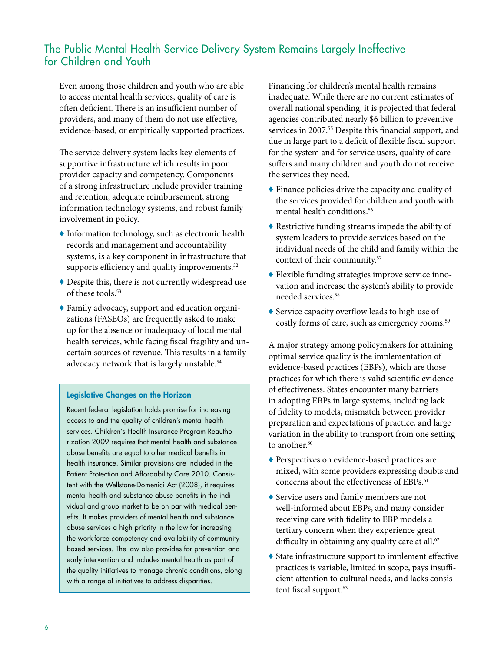# The Public Mental Health Service Delivery System Remains Largely Ineffective for Children and Youth

Even among those children and youth who are able to access mental health services, quality of care is often deficient. There is an insufficient number of providers, and many of them do not use effective, evidence-based, or empirically supported practices.

The service delivery system lacks key elements of supportive infrastructure which results in poor provider capacity and competency. Components of a strong infrastructure include provider training and retention, adequate reimbursement, strong information technology systems, and robust family involvement in policy.

- ♦ Information technology, such as electronic health records and management and accountability systems, is a key component in infrastructure that supports efficiency and quality improvements.<sup>52</sup>
- ♦ Despite this, there is not currently widespread use of these tools.<sup>53</sup>
- ♦ Family advocacy, support and education organizations (FASEOs) are frequently asked to make up for the absence or inadequacy of local mental health services, while facing fiscal fragility and uncertain sources of revenue. This results in a family advocacy network that is largely unstable.<sup>54</sup>

## Legislative Changes on the Horizon

Recent federal legislation holds promise for increasing access to and the quality of children's mental health services. Children's Health Insurance Program Reauthorization 2009 requires that mental health and substance abuse benefits are equal to other medical benefits in health insurance. Similar provisions are included in the Patient Protection and Affordability Care 2010. Consistent with the Wellstone-Domenici Act (2008), it requires mental health and substance abuse benefits in the individual and group market to be on par with medical benefits. It makes providers of mental health and substance abuse services a high priority in the law for increasing the work-force competency and availability of community based services. The law also provides for prevention and early intervention and includes mental health as part of the quality initiatives to manage chronic conditions, along with a range of initiatives to address disparities.

Financing for children's mental health remains inadequate. While there are no current estimates of overall national spending, it is projected that federal agencies contributed nearly \$6 billion to preventive services in 2007.<sup>55</sup> Despite this financial support, and due in large part to a deficit of flexible fiscal support for the system and for service users, quality of care suffers and many children and youth do not receive the services they need.

- ♦ Finance policies drive the capacity and quality of the services provided for children and youth with mental health conditions.<sup>56</sup>
- ♦ Restrictive funding streams impede the ability of system leaders to provide services based on the individual needs of the child and family within the context of their community.57
- ♦ Flexible funding strategies improve service innovation and increase the system's ability to provide needed services.<sup>58</sup>
- ♦ Service capacity overflow leads to high use of costly forms of care, such as emergency rooms.<sup>59</sup>

A major strategy among policymakers for attaining optimal service quality is the implementation of evidence-based practices (EBPs), which are those practices for which there is valid scientific evidence of effectiveness. States encounter many barriers in adopting EBPs in large systems, including lack of fidelity to models, mismatch between provider preparation and expectations of practice, and large variation in the ability to transport from one setting to another.<sup>60</sup>

- ♦ Perspectives on evidence-based practices are mixed, with some providers expressing doubts and concerns about the effectiveness of EBPs.<sup>61</sup>
- ♦ Service users and family members are not well-informed about EBPs, and many consider receiving care with fidelity to EBP models a tertiary concern when they experience great difficulty in obtaining any quality care at all.<sup>62</sup>
- $\blacklozenge$  State infrastructure support to implement effective practices is variable, limited in scope, pays insufficient attention to cultural needs, and lacks consistent fiscal support.<sup>63</sup>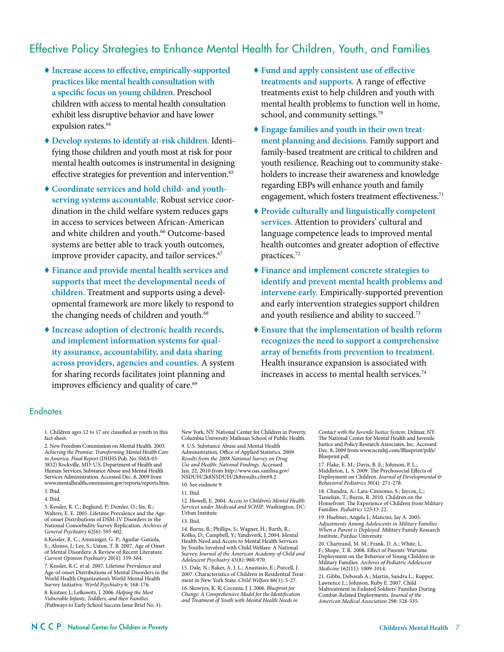# Effective Policy Strategies to Enhance Mental Health for Children, Youth, and Families

- ♦ **Increase access to effective, empirically-supported practices like mental health consultation with a specific focus on young children.** Preschool children with access to mental health consultation exhibit less disruptive behavior and have lower expulsion rates.<sup>64</sup>
- ♦ **Develop systems to identify at-risk children.** Identifying those children and youth most at risk for poor mental health outcomes is instrumental in designing effective strategies for prevention and intervention.<sup>65</sup>
- ♦ **Coordinate services and hold child- and youthserving systems accountable.** Robust service coordination in the child welfare system reduces gaps in access to services between African-American and white children and youth.<sup>66</sup> Outcome-based systems are better able to track youth outcomes, improve provider capacity, and tailor services.<sup>67</sup>
- ♦ **Finance and provide mental health services and supports that meet the developmental needs of children.** Treatment and supports using a developmental framework are more likely to respond to the changing needs of children and youth.<sup>68</sup>
- ♦ **Increase adoption of electronic health records, and implement information systems for quality assurance, accountability, and data sharing across providers, agencies and counties.** A system for sharing records facilitates joint planning and improves efficiency and quality of care.<sup>69</sup>
- ♦ **Fund and apply consistent use of effective treatments and supports.** A range of effective treatments exist to help children and youth with mental health problems to function well in home, school, and community settings.<sup>70</sup>
- ♦ **Engage families and youth in their own treatment planning and decisions.** Family support and family-based treatment are critical to children and youth resilience. Reaching out to community stakeholders to increase their awareness and knowledge regarding EBPs will enhance youth and family engagement, which fosters treatment effectiveness.<sup>71</sup>
- ♦ **Provide culturally and linguistically competent services.** Attention to providers' cultural and language competence leads to improved mental health outcomes and greater adoption of effective practices.72
- ♦ **Finance and implement concrete strategies to identify and prevent mental health problems and intervene early.** Empirically-supported prevention and early intervention strategies support children and youth resilience and ability to succeed.73
- ♦ **Ensure that the implementation of health reform recognizes the need to support a comprehensive array of benefits from prevention to treatment.** Health insurance expansion is associated with increases in access to mental health services.<sup>74</sup>

#### **Endnotes**

1. Children ages 12 to 17 are classified as youth in this fact sheet.

2. New Freedom Commission on Mental Health. 2003. *Achieving the Promise: Transforming Mental Health Care in America. Final Report* (DHHS Pub. No. SMA-03- 3832) Rockville, MD: U.S. Department of Health and Human Services, Substance Abuse and Mental Health Services Administration. Accessed Dec. 8, 2009 from www.mentalhealthcommission.gov/reports/reports.htm. 3. Ibid.

4. Ibid.

5. Kessler, R. C.; Beglund, P.; Demler, O.; Jin, R.; Walters, E. E. 2005. Lifetime Prevalence and the Ageof-onset Distributions of DSM-IV Disorders in the National Comorbidity Survey Replication. *Archives of General Psychiatry* 62(6): 593-602.

6.Kessler, R. C.; Amminger, G. P.; Aguilar-Gaxiola, S.; Alonso, J.; Lee, S.; Ustun, T. B. 2007. Age of Onset of Mental Disorders: A Review of Recent Literature. *Current Opinion Psychiatry* 20(4): 359-364.

7. Kessler, R.C. et al. 2007. Lifetime Prevalence and Age-of-onset Distributions of Mental Disorders in the World Health Organization's World Mental Health Survey Initiative. *World Psychiatry* 6: 168-176.

8. Knitzer, J.; Lefkowitz, J. 2006. *Helping the Most Vulnerable Infants, Toddlers, and their Families (*Pathways to Early School Success Issue Brief No. 1). New York, NY: National Center for Children in Poverty, Columbia University Mailman School of Public Health.

9. U.S. Substance Abuse and Mental Health Administration, Office of Applied Statistics. 2009. *Results from the 2008 National Survey on Drug Use and Health: National Findings.* Accessed Jan. 22, 2010 from http://www.oas.samhsa.gov/ NSDUH/2k8NSDUH/2k8results.cfm#8.2. 10. See endnote 9.

12. Howell, E. 2004. *Access to Children's Mental Health Services under Medicaid and SCHIP*. Washington, DC: Urban Institute.

14. Burns, B.; Phillips, S.; Wagner, H.; Barth, R.; Kolko, D.; Campbell, Y.; Yandsverk, J. 2004. Mental Health Need and Access to Mental Health Services by Youths Involved with Child Welfare: A National Survey. *Journal of the American Academy of Child and Adolescent Psychiatry* 43(8): 960-970.

15. Dale, N.; Baker, A. J. L.; Anastasio, E.; Purcell, J. 2007. Characteristics of Children in Residential Treatment in New York State. *Child Welfare* 86(1): 5-27. 16. Skowyra, K. R; Cocozza, J. J. 2006. *Blueprint for* 

*Change: A Comprehensive Model for the Identification and Treatment of Youth with Mental Health Needs in* 

*Contact with the Juvenile Justice System*. Delmar, NY: The National Center for Mental Health and Juvenile Justice and Policy Research Associates, Inc. Accessed Dec. 8, 2009 from www.ncmhjj.com/Blueprint/pdfs/ Blueprint.pdf.

17. Flake, E. M.; Davis, B. E.; Johnson, P. L.; Middleton, L. S. 2009. The Psychosocial Effects of Deployment on Children. *Journal of Developmental & Behavioral Pediatrics* 30(4): 271-278.

18. Chandra, A.; Lara-Cinisomo, S.; Jaycox, L.; Tanielian, T.; Burns, R. 2010. Children on the Homefront: The Experience of Children from Military Families. *Pediatrics* 125:13-22.

19. Huebner, Angela J.; Mancini, Jay A. 2005. *Adjustments Among Adolescents in Military Families When a Parent is Deployed*. Military Family Research Institute, Purdue University.

20. Chartrand, M. M.; Frank, D. A.; White, L. F.; Shope, T. R. 2008. Effect of Parents' Wartime Deployment on the Behavior of Young Children in Military Families. *Archives of Pediatric Adolescent Medicine* 162(11): 1009-1014.

21. Gibbs, Deborah A.; Martin, Sandra L.; Kupper, Lawrence L.; Johnson, Ruby E. 2007. Child Maltreatment in Enlisted Soldiers' Families During Combat-Related Deployments. *Journal of the American Medical Association* 298: 528-535.

<sup>11.</sup> Ibid.

<sup>13.</sup> Ibid.